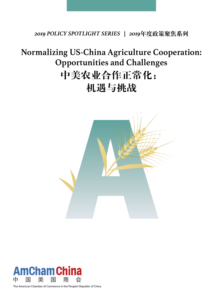*2019 POLICY SPOTLIGHT SERIES | 2019*年度政策聚焦系列

# **Normalizing US-China Agriculture Cooperation: Opportunities and Challenges** 中美农业合作正常化: 机遇与挑战





The American Chamber of Commerce in the People's Republic of China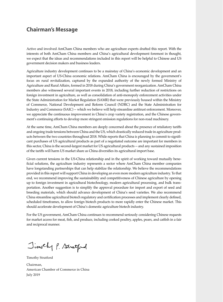# **Chairman's Message**

Active and involved AmCham China members who are agriculture experts drafted this report. With the interests of both AmCham China members and China's agricultural development foremost in thought, we expect that the ideas and recommendations included in this report will be helpful to Chinese and US government decision makers and business leaders.

Agriculture industry development continues to be a mainstay of China's economic development and an important aspect of US-China economic relations. AmCham China is encouraged by the government's focus on rural revitalization, captured by the expanded authority of the newly formed Ministry of Agriculture and Rural Affairs, formed in 2018 during China's government reorganization. AmCham China members also witnessed several important events in 2018, including further reduction of restrictions on foreign investment in agriculture, as well as consolidation of anti-monopoly enforcement activities under the State Administration for Market Regulation (SAMR) that were previously housed within the Ministry of Commerce, National Development and Reform Council (NDRC) and the State Administration for Industry and Commerce (SAIC) -- which we believe will help streamline antitrust enforcement. Moreover, we appreciate the continuous improvement in China's crop variety registration, and the Chinese government's continuing efforts to develop more stringent emission regulations for non-road machinery.

At the same time, AmCham China members are deeply concerned about the presence of retaliatory tariffs and ongoing trade tensions between China and the US, which drastically reduced trade in agriculture products between the two countries throughout 2018. While reports that China is planning to commit to significant purchases of US agricultural products as part of a negotiated outcome are important for members in this sector, China is the second-largest market for US agricultural products -- and any sustained imposition of the tariffs will harm US market share as China diversifies its agricultural import base.

Given current tensions in the US-China relationship and in the spirit of working toward mutually beneficial solutions, the agriculture industry represents a sector where AmCham China member companies have longstanding partnerships that can help stabilize the relationship. We believe the recommendations provided in this report will support China in developing an even more modern agriculture industry. To that end, we recommend improving the sustainability and competitiveness of Chinese agriculture by opening up to foreign investment in agricultural biotechnology, modern agricultural processing, and bulk transportation. Another suggestion is to simplify the approval procedure for import and export of seed and breeding materials, which should advance development of China's seed varieties. We also recommend China streamline agricultural biotech regulatory and certification processes and implement clearly defined, scheduled timeframes, to allow foreign biotech products to more rapidly enter the Chinese market. This should accelerate development of China's domestic agriculture biotech industry.

For the US government, AmCham China continues to recommend seriously considering Chinese requests for market access for meat, fish, and produce, including cooked poultry, apples, pears, and catfish in a fair and reciprocal manner.

Jimsthy P. Stratford

Timothy Stratford

Chairman, American Chamber of Commerce in China July 2019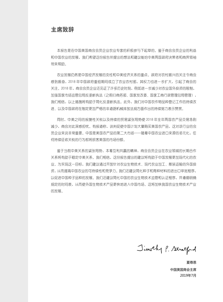主席致辞

本报告是在中国美国商会会员企业农业专家的积极参与下起草的。鉴于商会会员企业的利益 和中国农业的发展,我们希望这份报告所提出的想法和建议能给中美两国政府决策者和商界领袖 带来帮助。

农业发展仍然是中国经济发展的支柱和中美经济关系的重点。政府对农村振兴的关注令商会 感到振奋,2018 年中国政府重组期间成立了农业农村部,其权力也进一步扩大,引起了商会的 关注。2018 年,商会会员企业还见证了许多历史时刻,例如进一步减少对农业国外投资的限制, 加强国家市场监管总局反垄断执法(之前归商务部、国家发改委、国家工商行政管理总局管理), 我们相信,以上措施将有助于简化反垄断执法。此外,我们对中国农作物品种登记工作的持续改 进、以及中国政府在制定更加严格的非道路机械排放法规方面作出的持续努力表示赞赏。

同时,中美之间的报复性关税以及持续的贸易紧张局势使 2018 年全年两国农产品交易急剧 减少,商会对此深感担忧。有报道称,谈判促使中国计划大量购买美国农产品,这对该行业的会 员企业来说非常重要。中国是美国农产品的第二大市场——随着中国农业进口来源的多元化,任 何持续征收关税的行为都将损害美国的市场份额。

鉴于当前中美关系的紧张局势,本着互利共赢的精神,商会会员企业在农业领域的长期合作 关系将有助于稳定中美关系。我们相信,这份报告提出的建议将有助于中国发展更加现代化的农 业。为实现这一目标,我们建议通过开放针对农业生物技术、现代农业加工、散装运输的外国投 资,从而提高中国农业的可持续性和竞争力。我们还建议简化种子和育种材料的进出口审批程序, 以促进中国种子品种的发展。我们还建议简化中国的农业生物技术监管和认证程序,并遵循明确 规定的时间表,从而使外国生物技术产品更快地进入中国市场。这将加快我国农业生物技术产业 的发展。

Jimsthy P. Stratford

 夏尊恩 中国美国商会主席 2019年7月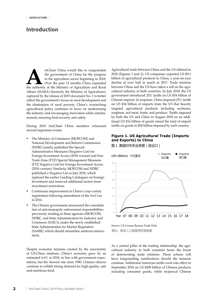## **Introduction**

mCham China would like to congratulate the government of China for the progress in the agriculture sector beginning in 2018. Over the past 12 months China expanded the authority of the Ministry of Agriculture and Rural the government of China for the progress in the agriculture sector beginning in 2018. Over the past 12 months China expanded Affairs (MARA) (formerly the Ministry of Agriculture), captured by the release of 2019 document No. 1 to better reflect the government's focus on rural development and the elimination of rural poverty. China's overarching agricultural policy continues to focus on modernizing the industry and encouraging innovation while simultaneously ensuring food security and safety.

During 2018 AmCham China members witnessed several important events:

- The Ministry of Commerce (MOFCOM) and National Development and Reform Commission (NDRC) jointly published the Special Administrative Measures (Negative List) for Foreign Investment Access (2018 version) and Free Trade Zone (FTZ) Special Management Measures (FTZ Negative List) for Foreign Investment Access (2018 version). Similarly, MOFCOM and NDRC published a Negative List in July 2018, which replaced the earlier Guiding Catalogues on Foreign Investment and removed additional sectors from investment restrictions.
- Continuous improvement in China's crop variety registration following amendment of the *Seed Law* in 2016.
- The Chinese government announced the consolidation of anti-monopoly enforcement responsibilities previously residing in three agencies (MOFCOM, NDRC, and State Administration for Industry and Commerce (SAIC)), under the newly established State Administration for Market Regulation (SAMR), which should streamline antitrust enforcement.

Despite economic tensions created by the uncertainty of US-China relations, China's economy grew by an estimated 6.6% in 2018, in line with government expectations, but the slowest rate since 1990. Chinese citizens continue to exhibit strong demand for high-quality, safe and nutritious food.

Agricultural trade between China and the US faltered in 2018 (Figures 1 and 2). US companies exported US \$9.1 billion of agricultural products to China, a year-on-year decline of over half as much as 2017. Trade tensions between China and the US have taken a toll on the agricultural industry in both countries. In July 2018, the US government introduced 25% tariffs on US \$34 billion of Chinese imports. In response, China imposed 25% tariffs on US \$34 billion of imports from the US that heavily targeted agricultural products including soybeans, sorghum, red meat, fruits, and produce. Tariffs imposed by both the US and China in August 2018 on an additional US \$16 billion of goods raised the total of import tariffs on goods to \$50 billion imposed by each country.

#### **Figure 1. US Agricultural Trade (Imports and Exports) to China**

图 1. 美国对华农业贸易(进出口)



Source: US Census Bureau Trade Data 源自:美国人口普查局贸易数据

As a central pillar of the trading relationship, the agricultural industry in both countries bears the brunt of deteriorating trade relations. These actions will have longstanding ramifications should the tensions continue. Additional American tariffs went into effect in September 2018 on US \$200 billion of Chinese products including consumer goods, while reciprocal Chinese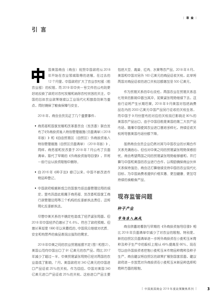中国美国商会(商会)祝贺中国政府从 2018 12 个月里,中国政府扩大了农业农村部(前 年开始在农业领域取得的进展。在过去的 农业部)的权限,而 2019 年中央一号文件的公布则更 好地反映了政府对农村发展和消除农村贫困的关注。中 国的总体农业政策继续以工业现代化和鼓励创新为重 点,同时确保了粮食保障与安全。

2018 年,商会会员见证了几个重要事件:

- 商务部和国家发展和改革委员会(发改委)联合发 布了《外商投资准入特别管理措施(负面清单)(2018 年版)》和《自由贸易区(自贸区)外商投资准入 特别管理措施(自贸区负面清单)(2018 年版)》。 同样,商务部和发改委于 2018 年 7 月公布了负面 清单,取代了早期的《外商投资指导目录》,并将 一些行业从投资限制中删除。
- 自 2016 年《种子法》修订以来,中国不断改进作 物品种登记。
- 中国政府根据新成立的国家市场监督管理总局的规 定,宣布巩固此前属于商务部、发改委和国家工商 行政管理总局等三个机构的反垄断执法责任,这将 简化反垄断执法。

尽管中美关系的不确定性造成了经济紧张局面, 但 2018 年中国经济仍增长了 6.6%, 符合了政府预期, 但 增长率却是 1990 年以来最低的。中国民众继续对优质、 安全和有营养的食品表现出强烈的需求。

2018年中美之间的农业贸易摇摆不定(图 1和图 2)。 美国公司向中国出口了 91 亿美元的农产品,同比 2017 年减少了超过一半。中美贸易紧张局势已经对两国的农 业造成了影响。7 月,美国政府对 340 亿美元的中国进 口产品征收 25%的关税。作为回应,中国对美国 340 亿美元进口产品征收 25%的关税,这些进口产品主要

包括大豆、高粱、红肉、水果等农产品。2018 年 8 月, 美国和中国对另外 160 亿美元的商品征收关税,此举将 两国对商品征收的进口关税总额增加至 500 亿美元。

作为贸易关系的中心支柱,两国农业在贸易关系恶 化带来的影响中首当其冲。如果紧张局势继续下去,这 些行动将产生长期后果。2018 年 9 月美国对包括消费 品在内的 2000 亿美元中国产品另行征收的关税生效, 而中国于 9 月份宣布的对应的关税现已影响近 90%的 美国农产品出口。由于中国目前是美国的第二大农产品 市场,随着中国使其农业进口基地多样化,持续征收关 税将导致美国市场份额下降。

虽然商会会员企业仍然对其与中国农业的长期合作 关系充满信心,但也对中美之间的贸易紧张局势深感担 忧。商会希望两国之间的贸易紧张局势能够缓和,并打 算与中国和美国的农业进行合作,以帮助确保商业伙伴 关系保持强劲。商会还打算继续支持中国的农业现代化 目标,为中国消费者提供价格实惠、更加健康、更加可 持续的食粮食产品。

# 现存监管问题

#### 种子产业

#### 市场准入挑战

商会欣喜地看到与早期的《外商投资指导目录》相 比 2018 年负面清单中减少了对农业的限制。特别是, 新的自贸区负面清单进一步将外商投资在小麦和玉米育 种及种子生产中的股权上限从 49%提高至 66%。现在 可以由外国投资者控制小麦和玉米作物品种育种及种子 生产。商会建议将自贸区的政策扩展到国家层面,建议 政府进一步放宽对外商投资在小麦和玉米新品种选择和 育种方面的限制。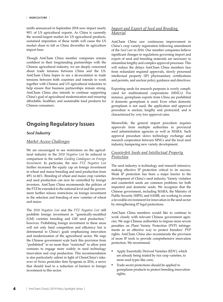tariffs announced in September 2018 now impact nearly 90% of US agricultural exports. As China is currently the second-largest market for US agricultural products, sustained imposition of these tariffs will cause the US market share to fall as China diversifies its agriculture import base.

Though AmCham China member companies remain confident in their longstanding partnerships with the Chinese agricultural industry, we are deeply concerned about trade tensions between China and the US. AmCham China hopes to see a de-escalation in trade tensions between both countries and intends to work together with Chinese and US agricultural industries to help ensure that business partnerships remain strong. AmCham China also intends to continue supporting China's goal of agricultural modernization and ensuring affordable, healthier, and sustainable food products for Chinese consumers.

# **Ongoing Regulatory Issues**

#### *Seed Industry*

#### *Market Access Challenges*

We are encouraged to see restrictions on the agricultural industry in the *2018 Negative List* be reduced in comparison to the earlier *Guiding Catalogues on Foreign Investment*. In particular, the new *FTZ Negative List*  further increased the equity cap on foreign investment in wheat and maize breeding and seed production from 49% to 66%. Breeding of wheat and maize crop varieties and seed production can now be controlled by foreign investors. AmCham China recommends the policies of the FTZ be extended to the national level and the government further relaxes restrictions on foreign investment in the selection and breeding of new varieties of wheat and maize.

The *2018 Negative List* and the *FTZ Negative List* still prohibits foreign investment in "genetically-modified (GM) varieties breeding and GM seed production," however. Prohibiting foreign investment in these areas will not only limit competition and efficiency but is detrimental to China's goals emphasizing innovation and modernization of the agricultural sector. We urge the Chinese government scale back this provision from "prohibited" to no more than "restricted" to allow joint ventures to engage more widely in seed technology innovation and crop production. This recommendation is also particularly salient in light of ChemChina's takeover of Swiss pesticides firm Syngenta in 2016, a move that should lead to a reduction of barriers to foreign investment in this sector.

#### *Import and Export of Seed and Breeding Material*

AmCham China saw continuous improvement in China's crop variety registration following amendment of the *Seed Law* in 2016. Our member companies believe significant changes to regulations governing import and export of seed and breeding materials are necessary to streamline lengthy and complex approval processes. This will reduce the delays AmCham China members face from redundant required approvals, slowly processed intellectual property (IP) phytosanitary certifications and permits, and unclear policy guidance and directives.

Exporting seeds for research purposes is overly complicated for multinational corporations (MNCs). For instance, germplasm exports from China are prohibited if domestic germplasm is used. Even when domestic germplasm is not used, the application and approval procedure is unclear, lengthy and protracted, and is characterized by very low approval rates.

Meanwhile, the general import procedure requires approvals from multiple authorities in provincial seed administration agencies as well as MARA. Such approval procedure slows technology exchange and research cooperation between MNCs and the local seed industry, hampering new variety development.

#### *Counterfeit Seeds and Intellectual Property Protection*

The seed industry is technology and research intensive, making effective IP protection critical to its success. Weak IP protection has been a major barrier to the development of China's seed industry. Variety violation and counterfeit seeds are common problems for both imported and domestic seeds. We recognize that the Chinese government, including MARA, the Ministry of Public Security (MPS), and SAMR, are working to create a favorable environment for innovation in the seed sector by strengthening IP legal protections.

AmCham China members would like to continue to work closely with relevant Chinese government agencies. We urge Chinese authorities to impose more severe penalties on Plant Variety Protection (PVP) infringements as an effective way to protect breeders' PVP rights. AmCham China also recommends the provision of more IP tools to provide comprehensive innovation protection. We recommend:

- Apply Essentially Derived Varieties (EDV), which are already being trialed by rice crop varieties, to more seed types like corn;
- Trade secret protections should be applied to germplasm products to protect breeding innovation rights;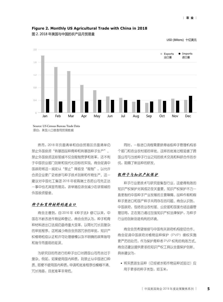

**Figure 2. Monthly US Agricultural Trade with China in 2018**

图 2. 2018 年美国与中国的农产品月贸易量

USD (Billions) 十亿美元

然而,2018 年负面清单和自由贸易区负面清单仍 禁止外国投资"转基因品种育种和转基因种子生产"。 禁止外国投资这些领域不仅会限制竞争和效率,还不利 于中国农业部门创新和现代化目标的实现。商会促请中 国政府将这一规定从"禁止"降级至"限制",以允许 合资企业更广泛地参与种子技术创新和作物生产。这一 建议对中国化工集团 2016 年收购瑞士农药公司先正达 一事中也尤其显而易见,该举措应该会减少在该领域的 外国投资壁垒。

#### 种子和育种材料的进出口

商会注意到,自 2016 年《种子法》修订以来,中 国在不断改进作物品种登记。商会会员认为,种子和育 种材料进出口法规仍亟待重大变革,以简化冗长且复杂 的审批程序。这将减少商会会员因冗余的审批,知识产 权植物检疫认证和许可处理缓慢以及不明确的政策指导 和指令而面临的延误。

为研究目的而进行的种子出口对跨国公司而言过于 复杂。例如,如果使用国内种质,则禁止从中国进口种 质。即便不使用国内种质,申请和批准程序也模糊不清、 冗长拖沓,且批准率非常低。

同时,一般进口流程需要获得省级种子管理机构多 个部门和农业农村部的审批。这样的批准过程延缓了跨 国公司与当地种子行业之间的技术交流和科研合作的步 伐,阻碍了新品种的研发。

#### 假种子与知识产权保护

种子行业是技术与研究密集型行业,这使得有效的 知识产权保护对其成功至关重要。知识产权保护不力一 直是制约中国种子产业发展的主要障碍。品种作假和假 种子是进口和国产种子共同存在的问题。商会认识到, 中国政府,包括农业农村部、公安部和国家市场监督管 理总局,正在努力通过加强知识产权法律保护,为种子 行业的创新创造有利的环境。

商会会员希望继续与中国有关政府机构密切合作。 商会促请中国政府对植物品种保护(PVP)侵权实施 更严厉的处罚,作为保护育种者 PVP 权利的有效方式。 商会还建议提供更多的知识产权工具以全面保护创新。 具体建议为:

• 将实质派生品种(已经被水稻作物品种试验过) 应 用于更多的种子类型,如玉米;

源自:美国人口普查局贸易数据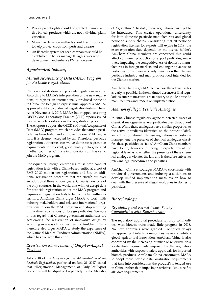- Proper patent rights should be granted to innovative biotech products which are not individual plant varieties;
- Molecular detection methods should be introduced to help protect crops from pests and disease;
- An IP credit system for seed companies should be established to better manage IP rights over seed development and enhance PVP enforcement.

#### *Agrochemical Industry*

#### *Mutual Acceptance of Data (MAD) Program for Pesticide Registrations*

China revised its domestic pesticide regulations in 2017. According to MARA's interpretation of the new regulations, to register an internationally-produced pesticide in China, the foreign enterprise must appoint a MARAapproved entity to conduct all registration tests in China. As of November 1, 2017, MARA has stopped accepting OECD-Good Laboratory Practice (GLP) reports issued by overseas laboratories in the registration procedure. These reports support the OECD's Mutual Acceptance of Data (MAD) program, which provides that after a pesticide has been tested and approved by one MAD signatory, it is deemed accepted by all. Therefore, pesticide registration authorities can waive domestic registration requirements for relevant, good quality data generated in other countries. China is in discussions but has yet to join the MAD program.

Consequently, foreign enterprises must now conduct registration tests with a China-based entity, at a cost of RMB 20-30 million per registration, and face an additional registration procedure that can stretch out over an additional three to four years. China is now one of the only countries in the world that will not accept data for pesticide registration under the MAD program and requires all registration tests to be conducted within its territory. AmCham China urges MARA to work with industry stakeholders and relevant international organizations to join the MAD program and stop requiring duplicative registrations of foreign pesticides. We note in this regard that Chinese government authorities are accelerating the registration of innovative drugs by accepting overseas clinical test results. AmCham China therefore also urges MARA to study the experience of the National Medical Products Administration (NMPA), which has overseen this effort.

#### *Registration Management of Only-For-Export Pesticide*

Article 48 of the *Measures for the Administration of the Pesticide Registration*, published on June 21, 2017, stated that "Registration Management of Only-For-Export Pesticides will be stipulated separately by the Ministry

of Agriculture." To date, these regulations have yet to be introduced. This creates operational uncertainty for both domestic pesticide manufacturers and global pesticide supply chains. Considering that all pesticide registration licenses for exports will expire in 2019 (the exact expiration date depends on the license holder), AmCham China members are concerned this could affect continued production of export pesticides, negatively impacting the competitiveness of domestic manufacturers in foreign markets and endangering access to pesticides for farmers who rely heavily on the Chinese pesticide industry and may produce food intended for the Chinese market.

AmCham China urges MARA to release the relevant rules as early as possible. In the continued absence of final regulations, interim measures are necessary to guide pesticide manufacturers and traders on implementation.

#### *Addition of Illegal Pesticide Analogues*

In 2018, Chinese regulatory agencies detected traces of chemical analogues in several pesticides used throughout China. While these analogues have similar properties to the active ingredients identified on the pesticide label, according to national Chinese regulations on pesticide management, the presence of chemical analogues classifies these pesticides as "fake." AmCham China members have found, however, differing interpretations at the regional level as to whether the presence of these chemical analogues violates the law and is therefore subject to relevant legal procedures and penalties.

AmCham China encourages MARA to coordinate with provincial governments and industry associations to develop unified implementing measures on how to deal with the presence of illegal analogues in domestic pesticides.

#### *Biotechnology*

#### *Regulatory and Permit Issues Facing Commodities with Biotech Traits*

The regulatory approval procedure for crop commodities with biotech traits made little progress in 2018. No new approvals were granted. Continued delays in approving biotech commodities severely inhibits global agricultural innovation. AmCham China is also concerned by the increasing number of repetitive data localization requirements imposed by the regulatory authorities with respect to safety approvals for imported biotech products. AmCham China encourages MARA to adopt more flexible data localization requirements that take into consideration the product's intended use in China, rather than imposing restrictive, "one-size-fits all" data requirements.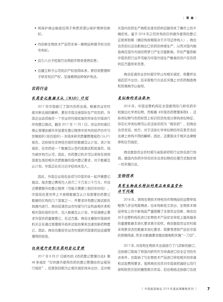- 将保护商业秘密应用于种质资源以保护育种创新 权;
- 向创新生物技术产品而非单一植物品种授予恰当的 专利权;
- 应引入分子检测方法帮助作物免受病虫害;
- 应建立种子公司知识产权信用体系,更好地管理种 子研发知识产权,加强植物品种保护执法。

#### 农药行业

#### 农药登记数据互认(MAD)计划

2017 年中国修订了国内农药法规。根据农业农村 部对新法规的解释,要在中国注册国际生产的农药,外 国企业必须指定一个农业农村部批准的实体在中国进行 所有登记测试。截至 2017 年 11 月 1 日,农业农村部已 停止受理由境外实验室在登记程序中发布的经济合作与 发展组织(经合组织)-非临床研究质量管理规范(GLP) 报告。这些报告支持经合组织的数据互认计划,该计划 规定,在农药经一个数据互认签约国测试和批准后,视 为被所有方认可。因此,农药登记机关可以免除在其他 国家生成的相关优质数据的国内登记要求。对于数据互 认计划,中国正处在讨论中但尚未加入。

因此,外国企业现在必须与中国实体一起开展登记 测试,每次登记费用为人民币二千万至三千万元,并且 还需要额外的登记程序(可能又需要三到四年时间)。 中国现在是世界上不按照数据互认计划受理农药登记 数据的仅有的几个国家之一,并要求所有登记测试都在 其境内进行。商会促请农业农村部与行业利益相关者和 相关国际组织合作,加入数据互认计划,并促请停止要 求外国农药重复登记。在这方面,商会注意到中国政府 机关正在通过受理海外临床试验结果来加速创新药物登 记。因此,商会也敦促农业农村部研究国家药品监督管 理局的经验。

#### 仅供境外使用农药的登记管理

2017 年 6 月 21 日颁布的《农药登记管理办法》第 48 条规定"仅供境外使用农药的登记管理由农业部另 行规定"。但是到目前为止相关规定尚未出台,这对相 关国内农药生产商和全球农药供应链带来了操作上的不 确定性。鉴于 2019 年之后所有的仅供境外使用的登记 证都将到期(确切有效期取决于许可证持有人),商会 会员担心这会影响出口农药的持续生产,从而对国内制 造商在国外市场的竞争力产生负面影响,并给严重依赖 中国农药行业并可能为中国市场生产粮食的农户在农药 供应方面带来危害。

商会促请农业农村部尽早公布相关规定。若最终法 规迟迟不出台,应采取暂行办法在实施上对农药制造商 和贸易商予以指导。

#### 类似物的非法添加

2018 年,中国监管机构在全国使用的几种农药中 检测出化学类似物。而根据《中国农药管理条例》,这 些类似物与农药标签上标识的活性成分具有类似特征, 存在化学类似物可认定这些农药为"假农药"。但商会 会员发现,地方,对于这些化学类似物的存在是否违反 法律上持有不同的解释,因此,这要取决于相关法律程 序和处罚规定。

商会鼓励农业农村部与省级政府和行业协会进行协 调,就国内农药中存在的非法类似物的处理方式制定统 一的实施办法。

#### 生物技术

## 具有生物技术特征的商品面临监管和 许可问题

2018 年,具有生物技术特性的作物商品的监管审批 程序几乎没有取得进,也未有新批文发出。生物技术商 品审批上的不断拖延严重阻碍了全球农业创新。商会也 对于监管机构在进口生物技术产品安全审批上越来越多 的重复数据本地化要求表示担忧。商会鼓励农业农村部 采用更灵活的数据本地化要求,即要考虑到产品在中国 的预期用途,而非对数据要求施加限制和实施"一刀切"。

2017年,对现有生物技术法规进行了几项新的修订。 这些修订取消了将国内研究作为申请进口安全证书的先 决条件,也取消了与生物技术产品进口审批相关的申请 和试验费用要求。虽然商会会员对中国政府减轻公司行 政和财务负担的意图表示欢迎,但也相信这些修订会进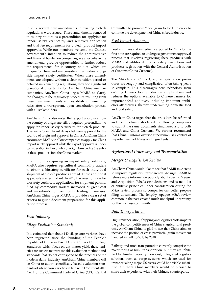In 2017 several new amendments to existing biotech regulations were issued. These amendments removed in-country studies as a precondition for applying for import safety certificates, and removed application and trial fee requirements for biotech product import approvals. While our members welcome the Chinese government's intention to reduce the administrative and financial burden on companies, we also believe the amendments provide opportunities to further reduce the requirements for in-country studies which are unique to China and are considered redundant alongside import safety certificates. When these amendments are adopted without a clear transition period or detailed implementing regulations, they add significant operational uncertainty for AmCham China member companies. AmCham China urges MARA to clarify the changes to the regulatory procedure resulting from these new amendments and establish implementing rules after a transparent, open consultation process with all stakeholders.

AmCham China also notes that export approvals from the country of origin are still a required precondition to apply for import safety certificates for biotech products. This leads to significant delays between approval by the country of origin and approval in China. AmCham China encourages MARA to allow companies to apply for China import safety approval while the export approval is under consideration in the country of origin to expedite the entry of these products into the China market.

In addition to acquiring an import safety certificate, MARA also requires agricultural commodity traders to obtain a biosafety certificate for each individual shipment of biotech products abroad. These additional approvals are redundant. In 2018 the rejection rate for biosafety certificate applications for shipment permits filed by commodity traders increased at great cost and uncertainty for commodity trading businesses. AmCham China urges MARA to provide a clear set of criteria to guide document preparation for this application process.

#### *Feed Industry*

#### *Silage Evaluation Standards*

It is estimated that about 140 silage corn varieties have been registered since the founding of the People's Republic of China in 1949. Due to China's Corn Silage Standards, which focus on dry matter yield, these varieties are subject to unreasonable evaluation methods and standards that do not correspond to the practices of the modern dairy industry. AmCham China members call on China to adopt scientifically-based evaluation standards of silage corn varieties in line with Document 2015 No. 1 of the Communist Party of China (CPC) Central Committee to promote "food grain to feed" in order to continue the development of China's feed industry.

#### *Feed Import Approvals*

Feed additives and ingredients exported to China for the first time are required to undergo a government approval process that involves registering these products with MARA and additional product safety evaluations and producer registration with the General Administration of Customs (China Customs).

The MARA and China Customs registration procedures are lengthy and complicated, often taking years to complete. This discourages new technology from entering China's food production supply chain and reduces the options available to Chinese farmers for important feed additives, including important antibiotics alternatives, thereby undermining domestic feed and food safety.

AmCham China urges that the procedure be reformed and the timeframe shortened by allowing companies to submit the same documents simultaneously to both MARA and China Customs. We further recommend that China Customs oversee supervision risk control of imported feed additives and ingredients.

#### *Agricultural Processing and Transportation*

#### *Merger & Acquisition Review*

AmCham China would like to see that SAMR take steps to improve regulatory transparency. We urge SAMR to release more information publicly about specific Merger and Acquisition (M&A) case decisions and issue a list of antitrust principles under consideration during the M&A review process so companies can better prepare filing documents. The lengthy, opaque M&A review common in the past created much unhelpful uncertainty for the business community.

#### *Bulk Transportation*

High transportation, shipping and logistics costs impairs the global competitiveness of China's agricultural products. AmCham China is glad to see that China aims to increase the portion of cross-provincial grain movement handled in bulk to 50% by 2020.

Railway and truck transportation currently comprise the major forms of bulk transportation, but they are inhibited by limited capacity. Low-cost, integrated logistics solutions such as barge systems, which are used for transport along major US rivers, could be a viable substitute. AmCham China members would be pleased to share their experience with their Chinese counterparts.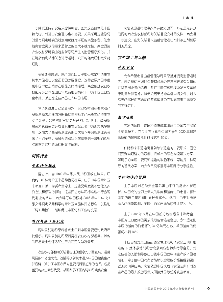一步降低国内研究要求提供机会,因为这些研究是中国 特有的,对进口安全证书也不必要。如果采用这些修订 时没有规定明确的过渡期或制定详细的实施条例,则会 给商会会员公司带来运营上的重大不确定性。商会促请 农业农村部明确由这些新修订产生的监管程序变化,并 在与所有利益相关方进行透明、公开的磋商后制定实施 细则。

商会还注意到,原产国的出口审批仍然是申请生物 技术产品进口安全证书的必要前提。这导致原产国审批 和中国审批之间存在明显的时间滞后。商会鼓励农业农 村部允许公司在出口审批待批的情况下申请中国进口安 全审批,以加速这些产品进入中国市场。

除了获得进口安全证书外,农业农村部还要求农产 品贸易商为运往国外的每批生物技术产品货物获得生物 安全证书。这些附加审批是多余的。2018 年,商品贸 易商为获得装运许可证其生物安全证书申请的拒绝率增 加,这加大了商品贸易业务的巨大成本并给贸易业务带 来了不确定性。商会促请农业农村部提供一套明确的标 准来指导此申请流程的文件编制。

#### 饲料行业

#### 青贮评估标准

据估计,自 1949 年中华人民共和国成立以来,已 有约 140 种青贮玉米品种登记在案。由于《中国青贮玉 米标准》以干物质产量为主,这些品种受到不合理的评 价方法和标准的影响,这些评估方法和标准也不符合现 代乳业的做法。商会呼吁中国根据 2015 年中共中央 1 号文件规定采用科学的青贮玉米品种评估标准,以推动 "饲料用粮",继续促进中国饲料工业的发展。

#### 对饲料进口的批准

饲料添加剂和原料首次出口到中国需要经过政府审 批程序,饲料添加剂和原料需在农业农村部备案,其他 的产品安全性评估和生产商在海关总署备案。

农业农村部和海关总署的注册程序冗长而复杂,通常 需要数年才能完成。这阻碍了新技术进入中国的粮食生产 供应链,减少了中国农民对重要饲料添加剂的选择,包括 重要的抗生素替代品,从而削弱了国内饲料和粮食安全。

商会敦促进行程序改革并缩短时间,方法是允许公 司同时向农业农村部和海关总署提交相同文件。商会进 一步建议,由海关总署来监督管理进口饲料添加剂和原 料的风控。

#### 农业加工与运输

#### 并购审核

商会希望市场监督管理总局采取措施提高监管透明 度。商会敦促市场监督管理总局公开发布更多有关具体 并购案例决策的信息,并在并购审核流程中发布反垄断 原则清单供考虑,以便公司更好地准备申请文件。过去 常见的冗长而不透明的并购审核为商业界带来了无意义 的不确定性。

#### 散货运输

高昂的运输、装运和物流成本削弱了中国农产品的 全球竞争力。商会很高兴看到中国力争到 2020 年将跨 省运输的散装粮食比例提高到 50%。

铁路和卡车运输是目前散装运输的主要形式,但它 们受到有限运力的限制。低成本的综合物流解决方案, 如用于沿美国主要河流运输的驳船系统,可能是一种可 行的替代方案。商会会员很乐意与中国同行分享经验。

#### 牛肉和猪肉贸易

由于中国对各种安全营养蛋白来源的需求不断增 长,中国成为世界上最大的牛肉和猪肉进口市场,预计 中期的进口量将同比增长近 50%。然而,由于对市场 准入的多重限制,美国牛肉的市场份额预计仅为 1%。

由于 2018 年 8 月在中国部分地区爆发非洲猪瘟, 中国对进口猪肉的需求很可能会迅速增加。今年运送到 中国的猪肉的价值将为 34 亿美元左右。美国猪肉的份 额将不到 10%。

中国目前对美国食品药品管理局和《食品法典》批 准的 β 受体激动剂和合成激素残留物实行零容忍。对 这些兽药的限制导致出口到中国的猪牛肉生产成本显著 增加。为了使中国消费者能够以合理的价格接触到更广 泛的猪肉供应商,商会敦促中国认可《食品法典》对这 些产品的最大残留限量从而接受国际兽药残留标准。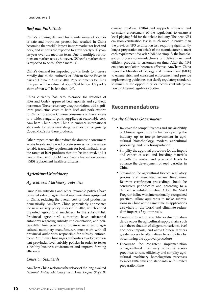### *Beef and Pork Trade*

China's growing demand for a wide range of sources of safe and nutritious protein has resulted in China becoming the world's largest import market for beef and pork, and imports are expected to grow nearly 50% yearon-year over the medium term. Due to multiple restrictions on market access, however, US beef's market share is expected to be roughly a mere 1%.

China's demand for imported pork is likely to increase rapidly due to the outbreak of African Swine Fever in parts of China in August 2018. Pork shipments to China this year will be valued at about \$3.4 billion. US pork's share of that will be less than 10%.

China currently has zero tolerance for residues of FDA and Codex approved beta agonists and synthetic hormones. These veterinary drug restrictions add significant production costs to both beef and pork exports to China. To enable Chinese consumers to have access to a wider range of pork suppliers at reasonable cost, AmCham China urges China to embrace international standards for veterinary drug residues by recognizing Codex MRL's for these products.

Other impediments that reduce the domestic consumers access to safe and varied protein sources include unreasonable traceability requirements for beef, limitations on the range of beef products that can be imported, and a ban on the use of USDA Food Safety Inspection Service (FSIS) replacement health certificates.

#### *Agricultural Machinery*

#### *Agricultural Machinery Subsidies*

Since 2004 subsidies and other favorable policies have powered sales of agricultural mechanization equipment in China, reducing the overall cost of food production domestically. AmCham China particularly appreciates the new subsidy policy released in 2018, which added imported agricultural machinery to the subsidy list. Provincial agricultural authorities have substantial autonomy regarding subsidy implementation, and policies differ from province to province. As a result, agricultural machinery manufacturers must work with all provincial authorities responsible for subsidy enforcement. AmCham China urges authorities to adopt consistent provincial-level subsidy policies in order to foster a healthy business environment and improve farming efficiency.

#### *Emission Standards*

AmCham China welcomes the release of the long-awaited *Non-road Mobile Machinery and Diesel Engine Stage IV*  *emission regulation* (NR4) and supports stringent and consistent enforcement of the regulations to ensure a level playing field for the whole industry. The new NR4 emission certification test is much more intensive than the previous NR3 certification test, requiring significantly longer preparation on behalf of the manufacturer to meet each requirement. We ask MARA to simplify the homologation process so manufacturers can deliver clean and efficient products to customers on time. After the NR4 emission regulation becomes effective, AmCham China urges the Ministry of Ecology and Environment (MEE) to ensure strict and consistent enforcement and provide implementing guidelines that clarify regulatory standards to minimize the opportunity for inconsistent interpretation by different regulatory bodies.

# **Recommendations**

#### *For the Chinese Government:*

- Improve the competitiveness and sustainability of Chinese agriculture by further opening the industry up to foreign investment in agricultural biotechnology, modern agricultural processing, and bulk transportation.
- Simplify the approval procedure for the import and export of seed and breeding materials at both the central and provincial levels to advance the development of seed varieties in China.
- Streamline the agricultural biotech regulatory process and associated review timeframes. Relevant certification proceedings should be conducted periodically and according to a defined, scheduled timeline. Adopt the MAD Program in line with internationally-recognized practices. Allow applicants to make submissions in China at the same time as applications elsewhere in the world and eliminate redundant import safety approvals.
- Continue to adopt scientific evaluation standards across the agricultural supply chain, such as in the evaluation of silage corn varieties, beef and pork imports, and allow Chinese farmers greater access to alternatives to antibiotics by streamlining the approval procedure.
- Encourage the consistent implementation of agricultural machinery subsidies across provinces to raise efficiency and simplify agricultural machinery homologation processes to meet NR4 emission standards with limited preparation time.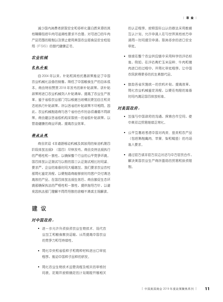减少国内消费者获取安全和多样化蛋白质来源的其 他障碍包括牛肉可追溯性要求不合理,对可进口的牛肉 产品范围的限制以及禁止使用美国农业部食品安全检验 局(FSIS)的替代健康证书。

#### 农业机械

#### 农机补贴

自 2004 年以来,补贴和其他优惠政策推动了中国 农业机械化设备的销售,降低了中国粮食生产的总体成 本。商会特别赞赏 2018 年发布的新补贴政策,该补贴 政策将进口农业机械列入补贴清单,提高了农业生产效 率。鉴于省级农业部门可以根据当地情况更加自主和灵 活地执行补贴政策,所以各省的补贴政策不尽相同。因 此,农业机械制造商与各个省份合作时必须遵循不同政 策。商会建议各省级机构采取统一的省级补贴政策,以 营造健康的商业环境,提高农业效率。

#### 排放法规

商会欢迎《非道路移动机械及其装用的柴油机第四 阶段排放法规》(国四)尽快发布。商会支持法规执行 的严格性和一致性,以确保整个行业的公平竞争环境。 国四排放认证测试与以前的国三认证测试相比时间紧、 要求严,企业的准备时间大幅增加。我们要求农业农村 部简化鉴定流程,以便制造商能够按时向客户交付清洁 高效的产品。在国四排放法规生效后,商会敦促生态环 境部确保执法的严格性和一致性,提供指导方针,以避 免因执法部门理解不同而导致的含糊不清或主观解读。

# 建 议

## 对中国政府:

- 进一步允许外资投资农业生物技术、现代农 业加工和粮食散货运输,从而提高中国农业 的竞争力和可持续性。
- 简化中央和省级种子和育种材料进出口审批 程序,推动中国种子品种的研发。
- 简化农业生物技术监管流程及相关的审核时 间表。定期并按照确定的计划期限开展相关

的认证程序。按照国际公认的做法采用数据 互认计划。允许申请人在与世界其他地方申 请同一时间提交申请,取消多余的进口安全 审批。

- 继续在整个农业供应链中采用科学的评估标 准,例如,在评估青贮玉米品种、牛肉和猪 肉进口的过程中,并简化审批程序,让中国 农民获得更多的抗生素替代品。
- 鼓励各省实施统一的农机补贴,提高效率, 简化农业机械鉴定流程,以便在有限的准备 时间内满足国四排放标准。

#### 对美国政府:

- 加强与中国政府的沟通,探索合作空间,使 中美双边贸易继续正常化。
- 公平互惠地考虑中国对肉类、鱼类和农产品 (包括熟制禽肉、苹果、梨和鲶鱼)的市场 准入要求。
- 通过官方或非官方双边对话与中方官员合作, 解决美国农业生产商所面临的贸易和投资限 制。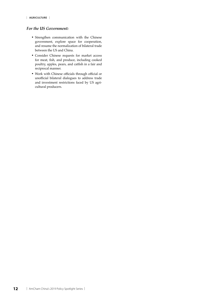#### *For the US Government:*

- Strengthen communication with the Chinese government, explore space for cooperation, and resume the normalization of bilateral trade between the US and China.
- Consider Chinese requests for market access for meat, fish, and produce, including cooked poultry, apples, pears, and catfish in a fair and reciprocal manner.
- Work with Chinese officials through official or unofficial bilateral dialogues to address trade and investment restrictions faced by US agricultural producers.